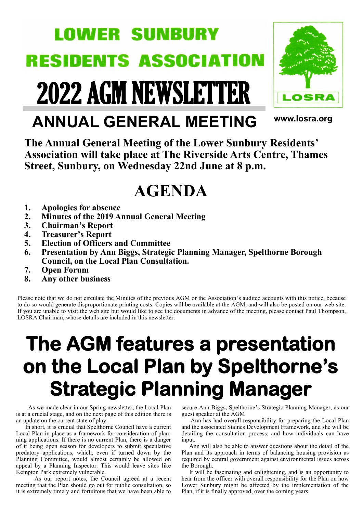# **LOWER SUNBURY RESIDENTS ASSOCI** ATION

2022 AGM NEWSLETTER



# **www.losra.org ANNUAL GENERAL MEETING**

**The Annual General Meeting of the Lower Sunbury Residents' Association will take place at The Riverside Arts Centre, Thames Street, Sunbury, on Wednesday 22nd June at 8 p.m.**

# **AGENDA**

- **1. Apologies for absence**
- **2. Minutes of the 2019 Annual General Meeting**
- **3. Chairman's Report**
- **4. Treasurer's Report**
- **5. Election of Officers and Committee**
- **6. Presentation by Ann Biggs, Strategic Planning Manager, Spelthorne Borough Council, on the Local Plan Consultation.**
- **7. Open Forum**
- **8. Any other business**

Please note that we do not circulate the Minutes of the previous AGM or the Association's audited accounts with this notice, because to do so would generate disproportionate printing costs. Copies will be available at the AGM, and will also be posted on our web site. If you are unable to visit the web site but would like to see the documents in advance of the meeting, please contact Paul Thompson, LOSRA Chairman, whose details are included in this newsletter.

# **The AGM features a presentation on the Local Plan by Spelthorne's Strategic Planning Manager**

 As we made clear in our Spring newsletter, the Local Plan is at a crucial stage, and on the next page of this edition there is an update on the current state of play.

 In short, it is crucial that Spelthorne Council have a current Local Plan in place as a framework for consideration of planning applications. If there is no current Plan, there is a danger of it being open season for developers to submit speculative predatory applications, which, even if turned down by the Planning Committee, would almost certainly be allowed on appeal by a Planning Inspector. This would leave sites like Kempton Park extremely vulnerable.

 As our report notes, the Council agreed at a recent meeting that the Plan should go out for public consultation, so it is extremely timely and fortuitous that we have been able to secure Ann Biggs, Spelthorne's Strategic Planning Manager, as our guest speaker at the AGM

 Ann has had overall responsibility for preparing the Local Plan and the associated Staines Development Framework, and she will be detailing the consultation process, and how individuals can have input.

 Ann will also be able to answer questions about the detail of the Plan and its approach in terms of balancing housing provision as required by central government against environmental issues across the Borough.

 It will be fascinating and enlightening, and is an opportunity to hear from the officer with overall responsibility for the Plan on how Lower Sunbury might be affected by the implementation of the Plan, if it is finally approved, over the coming years.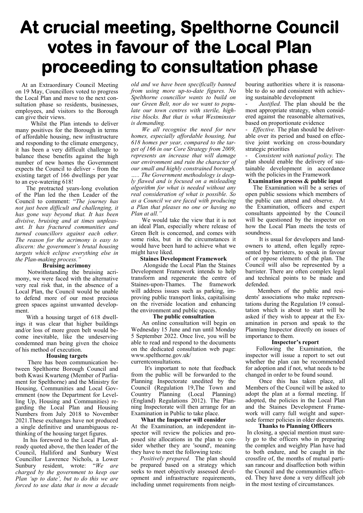# **At crucial meeting, Spelthorne Council votes in favour of the Local Plan proceeding to consultation phase**

 At an Extraordinary Council Meeting on 19 May, Councillors voted to progress the Local Plan and move to the next consultation phase so residents, businesses, employees, and visitors to the Borough can give their views.

 Whilst the Plan intends to deliver many positives for the Borough in terms of affordable housing, new infrastructure and responding to the climate emergency, it has been a very difficult challenge to balance these benefits against the high number of new homes the Government expects the Council to deliver - from the existing target of 166 dwellings per year to an eye-watering 618!

 The protracted years-long evolution of the Plan led the then Leader of the Council to comment: "*The journey has not just been difficult and challenging, it has gone way beyond that. It has been divisive, bruising and at times unpleasant. It has fractured communities and turned councillors against each other. The reason for the acrimony is easy to discern: the government's brutal housing targets which eclipse everything else in the Plan-making process."*

#### **Bruising acrimony**

 Notwithstanding the bruising acrimony, we were faced with the alternative very real risk that, in the absence of a Local Plan, the Council would be unable to defend more of our most precious green spaces against unwanted development.

 With a housing target of 618 dwellings it was clear that higher buildings and/or loss of more green belt would become inevitable, like the undeserving condemned man being given the choice of his method of execution.

#### **Housing targets**

 There has been communication between Spelthorne Borough Council and both Kwasi Kwarteng (Member of Parliament for Spelthorne) and the Ministry for Housing, Communities and Local Government (now the Department for Levelling Up, Housing and Communities) regarding the Local Plan and Housing Numbers from July 2018 to November 2021.These exchanges have not produced a single definitive and unambiguous rethinking of the housing target figures.

In his foreword to the Local Plan, already quoted above, the then leader of the Council, Halliford and Sunbury West Councillor Lawrence Nichols, a Lower Sunbury resident, wrote: "*We are charged by the government to keep our Plan 'up to date', but to do this we are forced to use data that is now a decade* 

*old and we have been specifically banned from using more up-to-date figures. No Spelthorne councillor wants to build on our Green Belt, nor do we want to populate our town centres with sterile, highrise blocks. But that is what Westminster is demanding.* 

 *We all recognise the need for new homes, especially affordable housing, but 618 homes per year, compared to the target of 166 in our Core Strategy from 2009, represents an increase that will damage our environment and ruin the character of our small and highly constrained borough.* 

*….. The Government methodology is deeply flawed and is focused on a misleading algorithm for what is needed without any real consideration of what is possible. So as a Council we are faced with producing a Plan that pleases no one or having no Plan at all."*

We would take the view that it is not an ideal Plan, especially where release of Green Belt is concerned, and comes with some risks, but in the circumstances it would have been hard to achieve what we might have liked.

#### **Staines Development Framework**

 Alongside the Local Plan the Staines Development Framework intends to help transform and regenerate the centre of Staines-upon-Thames. The framework will address issues such as parking, improving public transport links, capitalising on the riverside location and enhancing the environment and public spaces.

#### **The public consultation**

 An online consultation will begin on Wednesday 15 June and run until Monday 5 September 2022. Once live, you will be able to read and respond to the documents on the dedicated consultation web page: www.spelthorne.gov.uk/

currentconsultations.

 It's important to note that feedback from the public will be forwarded to the Planning Inspectorate unedited by the Council (Regulation 19, The Town and Country Planning (Local Planning) Country Planning (Local (England) Regulations 2012). The Planning Inspectorate will then arrange for an Examination in Public to take place.

#### **What the Inspector will consider**

At the Examination, an independent inspector will review the policies and proposed site allocations in the plan to consider whether they are 'sound', meaning they have to meet the following tests:

*- Positively prepared.* The plan should be prepared based on a strategy which seeks to meet objectively assessed development and infrastructure requirements, including unmet requirements from neighbouring authorities where it is reasonable to do so and consistent with achieving sustainable development

Justified. The plan should be the most appropriate strategy, when considered against the reasonable alternatives, based on proportionate evidence

- *Effective.* The plan should be deliverable over its period and based on effective joint working on cross-boundary strategic priorities

- *Consistent with national policy.* The plan should enable the delivery of sustainable development in accordance with the policies in the Framework

#### **Examination process & public input**

 The Examination will be a series of open public sessions which members of the public can attend and observe. At the Examination, officers and expert consultants appointed by the Council will be questioned by the inspector on how the Local Plan meets the tests of soundness.

 It is usual for developers and landowners to attend, often legally represented by barristers, to speak in favour of or oppose elements of the plan. The Council will also be represented by a barrister. There are often complex legal and technical points to be made and defended.

 Members of the public and residents' associations who make representations during the Regulation 19 consultation which is about to start will be asked if they wish to appear at the Examination in person and speak to the Planning Inspector directly on issues of importance to them.

### **Inspector's report**

 Following the Examination, the inspector will issue a report to set out whether the plan can be recommended for adoption and if not, what needs to be changed in order to be found sound.

 Once this has taken place, all Members of the Council will be asked to adopt the plan at a formal meeting. If adopted, the policies in the Local Plan and the Staines Development Framework will carry full weight and supersede former policies in older documents.

### **Thanks to Planning Officers**

In closing, a special mention must surely go to the officers who in preparing the complex and weighty Plan have had to both endure, and be caught in the crossfire of, the months of mutual partisan rancour and disaffection both within the Council and the communities affected. They have done a very difficult job in the most testing of circumstances.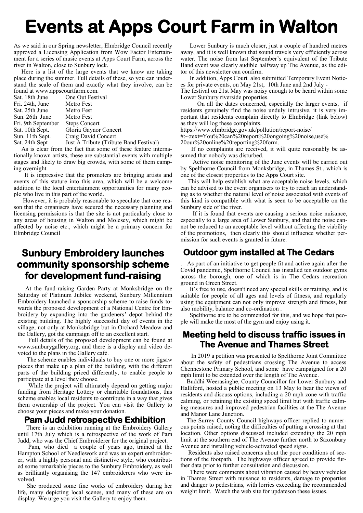# **Events at Apps Court Farm in Walton**

As we said in our Spring newsletter, Elmbridge Council recently approved a Licensing Application from Wow Factor Entertainment for a series of music events at Apps Court Farm, across the river in Walton, close to Sunbury lock.

 Here is a list of the large events that we know are taking place during the summer. Full details of these, so you can understand the scale of them and exactly what they involve, can be found at www.appscourtfarm.com.

| round at www.appscourtiarm.com. |                              |  |
|---------------------------------|------------------------------|--|
| Sat. 18th June                  | One Out Festival             |  |
| Fri. 24th, June                 | Metro Fest                   |  |
| Sat. 25th June                  | Metro Fest                   |  |
| Sun. 26th June                  | Metro Fest                   |  |
| Fri. 9th September              | <b>Steps Concert</b>         |  |
| Sat. 10th Sept.                 | Gloria Gaynor Concert        |  |
| Sun. 11th Sept.                 | Craig David Concert          |  |
| Sat. 24th Sept                  | Just A Tribute (Tribute Band |  |
|                                 |                              |  |

Festival) As is clear from the fact that some of these feature internationally known artists, these are substantial events with multiple stages and likely to draw big crowds, with some of them camping overnight.

 It is impressive that the promoters are bringing artists and events of this stature into this area, which will be a welcome addition to the local entertainment opportunities for many people who live in this part of the world.

 However, it is probably reasonable to speculate that one reason that the organisers have secured the necessary planning and licensing permissions is that the site is not particularly close to any areas of housing in Walton and Molesey, which might be affected by noise etc., which might be a primary concern for Elmbridge Council

# **Sunbury Embroidery launches community sponsorship scheme for development fund-raising**

 At the fund-raising Garden Party at Monksbridge on the Saturday of Platinum Jubilee weekend, Sunbury Millennium Embroidery launched a sponsorship scheme to raise funds towards the proposed development of a National Centre for Embroidery by expanding into the gardeners' depot behind the existing building. The highly successful day of events in the village, not only at Monksbridge but in Orchard Meadow and the Gallery, got the campaign off to an excellent start.

 Full details of the proposed development can be found at www.sunburygallery.org, and there is a display and video devoted to the plans in the Gallery café.

 The scheme enables individuals to buy one or more jigsaw pieces that make up a plan of the building, with the different parts of the building priced differently, to enable people to participate at a level they choose.

 While the project will ultimately depend on getting major funding from Heritage Lottery or charitable foundations, this scheme enables local residents to contribute in a way that gives them ownership of the project. You can visit the Gallery to choose your pieces and make your donation.

## **Pam Judd retrospective Exhibition**

There is an exhibition running at the Embroidery Gallery until 17th July which is a retrospective of the work of Pam Judd, who was the Chief Embroiderer for the original project.

 Pam, who died a couple of years ago, trained at the Hampton School of Needlework and was an expert embroiderer, with a highly personal and distinctive style, who contributed some remarkable pieces to the Sunbury Embroidery, as well as brilliantly organising the 147 embroiderers who were involved.

 She produced some fine works of embroidery during her life, many depicting local scenes, and many of these are on display. We urge you visit the Gallery to enjoy them.

 Lower Sunbury is much closer, just a couple of hundred metres away, and it is well known that sound travels very efficiently across water. The noise from last September's equivalent of the Tribute Band event was clearly audible halfway up The Avenue, as the editor of this newsletter can confirm.

 In addition, Apps Court also submitted Temporary Event Notices for private events, on May 21st, 10th June and 2nd July - The festival on 21st May was noisy enough to be heard within some Lower Sunbury riverside properties.

 On all the dates concerned, especially the larger events, if residents genuinely find the noise unduly intrusive, it is very important that residents complain directly to Elmbridge (link below) as they will log these complaints.

https://www.elmbridge.gov.uk/pollution/report-noise/

#:~:text=You%20can%20report%20ongoing%20noise,use%

20our%20online%20reporting%20form.

 If no complaints are received, it will quite reasonably be assumed that nobody was disturbed.

 Active noise monitoring of the June events will be carried out by Spelthorne Council from Monksbridge, in Thames St., which is one of the closest properties to the Apps Court site.

 This will help establish what are acceptable noise levels, which can be advised to the event organisers to try to reach an understanding as to whether the natural level of noise associated with events of this kind is compatible with what is seen to be acceptable on the Sunbury side of the river.

 If it is found that events are causing a serious noise nuisance, especially to a large area of Lower Sunbury, and that the noise cannot be reduced to an acceptable level without affecting the viability of the promotions, then clearly this should influence whether permission for such events is granted in future.

# **Outdoor gym installed at The Cedars**

. As part of an initiative to get people fit and active again after the Covid pandemic, Spelthorne Council has installed ten outdoor gyms across the borough, one of which is in The Cedars recreation ground in Green Street.

 It's free to use, doesn't need any special skills or training, and is suitable for people of all ages and levels of fitness, and regularly using the equipment can not only improve strength and fitness, but also mobility, balance and co-ordination .

 Spelthorne are to be commended for this, and we hope that people will make the most of the gym and enjoy using it.

## **Meeting held to discuss traffic issues in The Avenue and Thames Street**

 In 2019 a petition was presented to Spelthorne Joint Committee about the safety of pedestrians crossing The Avenue to access Chennestone Primary School, and some have campaigned for a 20 mph limit to be extended over the length of The Avenue.

 Buddhi Weerasinghe, County Councillor for Lower Sunbury and Halliford, hosted a public meeting on 13 May to hear the views of residents and discuss options, including a 20 mph zone with traffic calming, or retaining the existing speed limit but with traffic calming measures and improved pedestrian facilities at the The Avenue and Manor Lane Junction.

 The Surrey County Council highways officer replied to numerous points raised, noting the difficulties of putting a crossing at that location. Other options discussed included extending the 20 mph limit at the southern end of The Avenue further north to Saxonbury Avenue and installing vehicle-activated speed signs.

 Residents also raised concerns about the poor conditions of sections of the footpath. The highways officer agreed to provide further data prior to further consultation and discussion.

 There were comments about vibration caused by heavy vehicles in Thames Street with nuisance to residents, damage to properties and danger to pedestrians, with lorries exceeding the recommended weight limit. Watch the web site for updateson these issues.